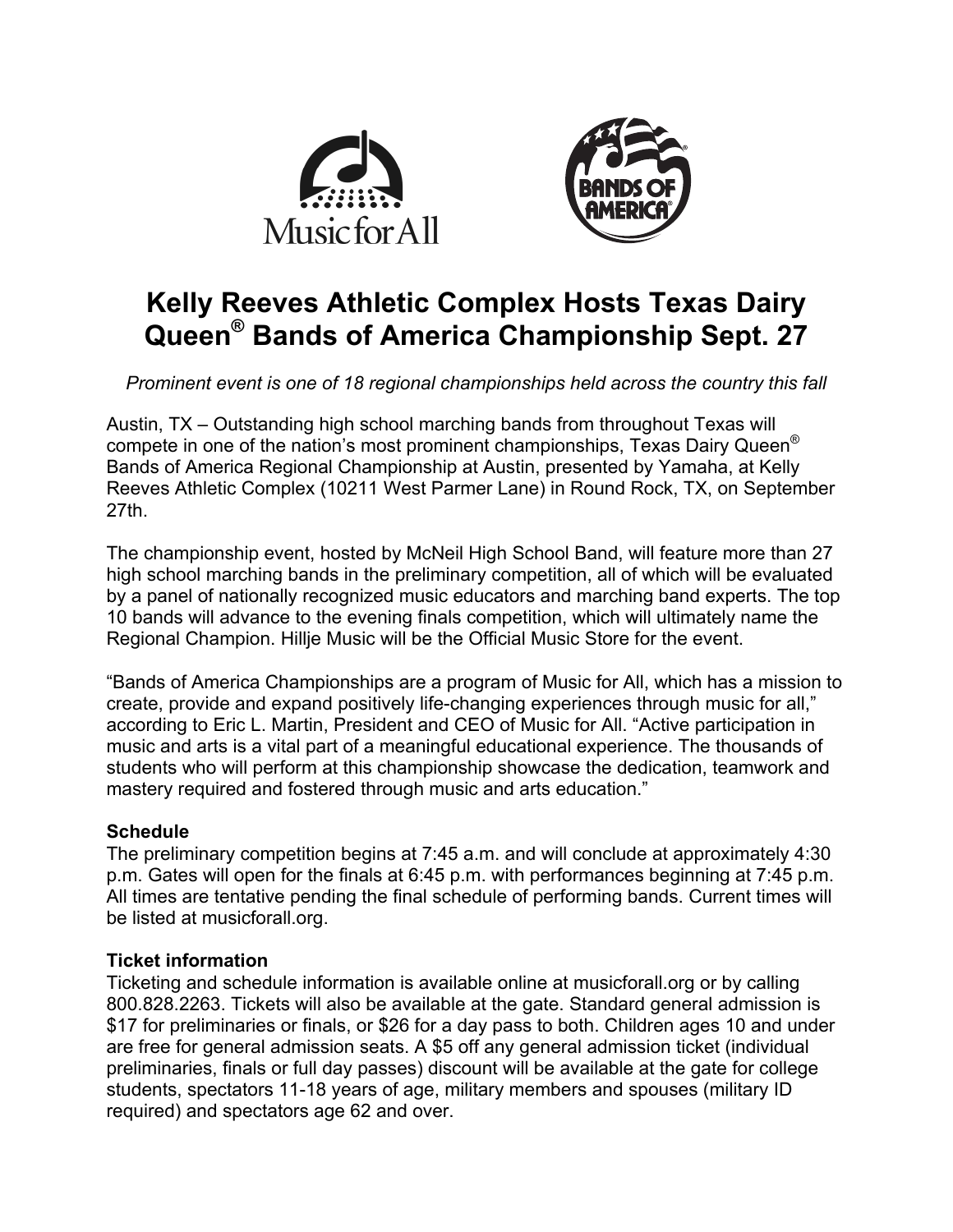



# **Kelly Reeves Athletic Complex Hosts Texas Dairy Queen® Bands of America Championship Sept. 27**

*Prominent event is one of 18 regional championships held across the country this fall*

Austin, TX – Outstanding high school marching bands from throughout Texas will compete in one of the nation's most prominent championships, Texas Dairy Queen® Bands of America Regional Championship at Austin, presented by Yamaha, at Kelly Reeves Athletic Complex (10211 West Parmer Lane) in Round Rock, TX, on September 27th.

The championship event, hosted by McNeil High School Band, will feature more than 27 high school marching bands in the preliminary competition, all of which will be evaluated by a panel of nationally recognized music educators and marching band experts. The top 10 bands will advance to the evening finals competition, which will ultimately name the Regional Champion. Hillje Music will be the Official Music Store for the event.

"Bands of America Championships are a program of Music for All, which has a mission to create, provide and expand positively life-changing experiences through music for all," according to Eric L. Martin, President and CEO of Music for All. "Active participation in music and arts is a vital part of a meaningful educational experience. The thousands of students who will perform at this championship showcase the dedication, teamwork and mastery required and fostered through music and arts education."

## **Schedule**

The preliminary competition begins at 7:45 a.m. and will conclude at approximately 4:30 p.m. Gates will open for the finals at 6:45 p.m. with performances beginning at 7:45 p.m. All times are tentative pending the final schedule of performing bands. Current times will be listed at musicforall.org.

## **Ticket information**

Ticketing and schedule information is available online at musicforall.org or by calling 800.828.2263. Tickets will also be available at the gate. Standard general admission is \$17 for preliminaries or finals, or \$26 for a day pass to both. Children ages 10 and under are free for general admission seats. A \$5 off any general admission ticket (individual preliminaries, finals or full day passes) discount will be available at the gate for college students, spectators 11-18 years of age, military members and spouses (military ID required) and spectators age 62 and over.